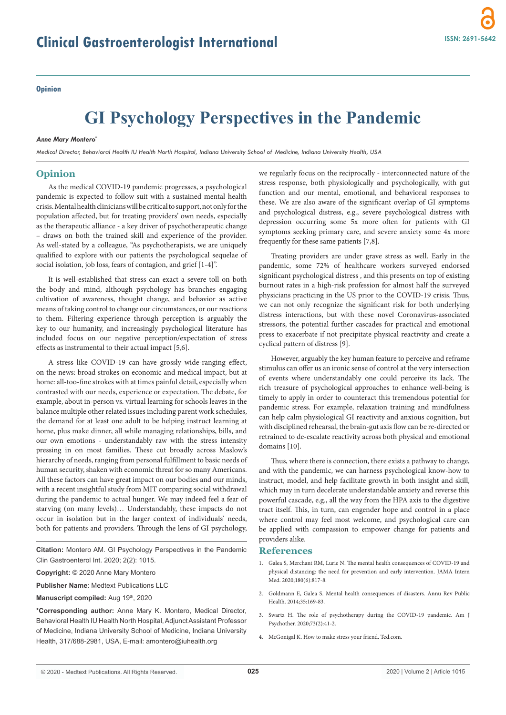### **Opinion**

# **GI Psychology Perspectives in the Pandemic**

#### *Anne Mary Montero\**

*Medical Director, Behavioral Health IU Health North Hospital, Indiana University School of Medicine, Indiana University Health, USA*

# **Opinion**

As the medical COVID-19 pandemic progresses, a psychological pandemic is expected to follow suit with a sustained mental health crisis. Mental health clinicians will be critical to support, not only for the population affected, but for treating providers' own needs, especially as the therapeutic alliance - a key driver of psychotherapeutic change – draws on both the trained skill and experience of the provider. As well-stated by a colleague, "As psychotherapists, we are uniquely qualified to explore with our patients the psychological sequelae of social isolation, job loss, fears of contagion, and grief [1-4]".

It is well-established that stress can exact a severe toll on both the body and mind, although psychology has branches engaging cultivation of awareness, thought change, and behavior as active means of taking control to change our circumstances, or our reactions to them. Filtering experience through perception is arguably the key to our humanity, and increasingly psychological literature has included focus on our negative perception/expectation of stress effects as instrumental to their actual impact [5,6].

A stress like COVID-19 can have grossly wide-ranging effect, on the news: broad strokes on economic and medical impact, but at home: all-too-fine strokes with at times painful detail, especially when contrasted with our needs, experience or expectation. The debate, for example, about in-person vs. virtual learning for schools leaves in the balance multiple other related issues including parent work schedules, the demand for at least one adult to be helping instruct learning at home, plus make dinner, all while managing relationships, bills, and our own emotions - understandably raw with the stress intensity pressing in on most families. These cut broadly across Maslow's hierarchy of needs, ranging from personal fulfillment to basic needs of human security, shaken with economic threat for so many Americans. All these factors can have great impact on our bodies and our minds, with a recent insightful study from MIT comparing social withdrawal during the pandemic to actual hunger. We may indeed feel a fear of starving (on many levels)… Understandably, these impacts do not occur in isolation but in the larger context of individuals' needs, both for patients and providers. Through the lens of GI psychology,

**Citation:** Montero AM. GI Psychology Perspectives in the Pandemic Clin Gastroenterol Int. 2020; 2(2): 1015.

**Copyright:** © 2020 Anne Mary Montero

**Publisher Name**: Medtext Publications LLC

**Manuscript compiled:** Aug 19th, 2020

**\*Corresponding author:** Anne Mary K. Montero, Medical Director, Behavioral Health IU Health North Hospital, Adjunct Assistant Professor of Medicine, Indiana University School of Medicine, Indiana University Health, 317/688-2981, USA, E-mail: amontero@iuhealth.org

we regularly focus on the reciprocally - interconnected nature of the stress response, both physiologically and psychologically, with gut function and our mental, emotional, and behavioral responses to these. We are also aware of the significant overlap of GI symptoms and psychological distress, e.g., severe psychological distress with depression occurring some 5x more often for patients with GI symptoms seeking primary care, and severe anxiety some 4x more frequently for these same patients [7,8].

Treating providers are under grave stress as well. Early in the pandemic, some 72% of healthcare workers surveyed endorsed significant psychological distress , and this presents on top of existing burnout rates in a high-risk profession for almost half the surveyed physicians practicing in the US prior to the COVID-19 crisis. Thus, we can not only recognize the significant risk for both underlying distress interactions, but with these novel Coronavirus-associated stressors, the potential further cascades for practical and emotional press to exacerbate if not precipitate physical reactivity and create a cyclical pattern of distress [9].

However, arguably the key human feature to perceive and reframe stimulus can offer us an ironic sense of control at the very intersection of events where understandably one could perceive its lack. The rich treasure of psychological approaches to enhance well-being is timely to apply in order to counteract this tremendous potential for pandemic stress. For example, relaxation training and mindfulness can help calm physiological GI reactivity and anxious cognition, but with disciplined rehearsal, the brain-gut axis flow can be re-directed or retrained to de-escalate reactivity across both physical and emotional domains [10].

Thus, where there is connection, there exists a pathway to change, and with the pandemic, we can harness psychological know-how to instruct, model, and help facilitate growth in both insight and skill, which may in turn decelerate understandable anxiety and reverse this powerful cascade, e.g., all the way from the HPA axis to the digestive tract itself. This, in turn, can engender hope and control in a place where control may feel most welcome, and psychological care can be applied with compassion to empower change for patients and providers alike.

## **References**

- 1. Galea S, Merchant RM, Lurie N. The mental health consequences of COVID-19 and physical distancing: the need for prevention and early intervention. JAMA Intern Med. 2020;180(6):817-8.
- 2. Goldmann E, Galea S. Mental health consequences of disasters. Annu Rev Public Health. 2014;35:169-83.
- 3. Swartz H. The role of psychotherapy during the COVID-19 pandemic. Am J Psychother. 2020;73(2):41-2.
- 4. McGonigal K. How to make stress your friend. Ted.com.